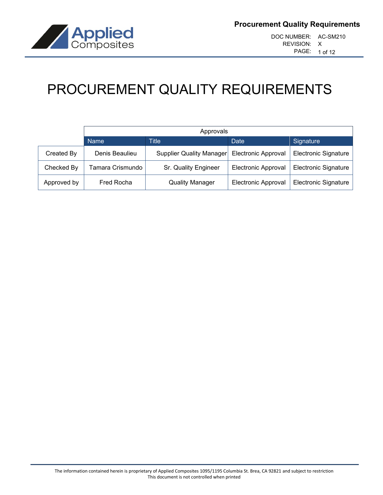

# PROCUREMENT QUALITY REQUIREMENTS

|             | Approvals        |                          |                            |                             |
|-------------|------------------|--------------------------|----------------------------|-----------------------------|
|             | <b>Name</b>      | Title                    | Date                       | Signature                   |
| Created By  | Denis Beaulieu   | Supplier Quality Manager | <b>Electronic Approval</b> | <b>Electronic Signature</b> |
| Checked By  | Tamara Crismundo | Sr. Quality Engineer     | <b>Electronic Approval</b> | <b>Electronic Signature</b> |
| Approved by | Fred Rocha       | <b>Quality Manager</b>   | <b>Electronic Approval</b> | <b>Electronic Signature</b> |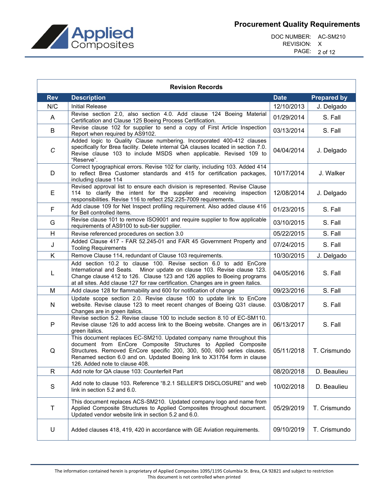

DOC NUMBER: AC-SM210 REVISION: X PAGE: 2 of 12

| <b>Revision Records</b> |                                                                                                                                                                                                                                                                                                                                 |             |                    |
|-------------------------|---------------------------------------------------------------------------------------------------------------------------------------------------------------------------------------------------------------------------------------------------------------------------------------------------------------------------------|-------------|--------------------|
| <b>Rev</b>              | <b>Description</b>                                                                                                                                                                                                                                                                                                              | <b>Date</b> | <b>Prepared by</b> |
| N/C                     | <b>Initial Release</b>                                                                                                                                                                                                                                                                                                          | 12/10/2013  | J. Delgado         |
| A                       | Revise section 2.0, also section 4.0. Add clause 124 Boeing Material<br>Certification and Clause 125 Boeing Process Certification.                                                                                                                                                                                              | 01/29/2014  | S. Fall            |
| B                       | Revise clause 102 for supplier to send a copy of First Article Inspection<br>Report when required by AS9102.                                                                                                                                                                                                                    | 03/13/2014  | S. Fall            |
| C                       | Added logic to Quality Clause numbering. Incorporated 400-412 clauses<br>specifically for Brea facility. Delete internal QA clauses located in section 7.0.<br>Revise clause 103 to include MSDS when applicable. Revised 109 to<br>"Reserve".                                                                                  | 04/04/2014  | J. Delgado         |
| D                       | Correct typographical errors. Revise 102 for clarity, including 103. Added 414<br>to reflect Brea Customer standards and 415 for certification packages,<br>including clause 114                                                                                                                                                | 10/17/2014  | J. Walker          |
| Е                       | Revised approval list to ensure each division is represented. Revise Clause<br>114 to clarify the intent for the supplier and receiving inspection<br>responsibilities. Revise 116 to reflect 252.225-7009 requirements.                                                                                                        | 12/08/2014  | J. Delgado         |
| F                       | Add clause 109 for Net Inspect profiling requirement. Also added clause 416<br>for Bell controlled items.                                                                                                                                                                                                                       | 01/23/2015  | S. Fall            |
| G                       | Revise clause 101 to remove ISO9001 and require supplier to flow applicable<br>requirements of AS9100 to sub-tier supplier.                                                                                                                                                                                                     | 03/10/2015  | S. Fall            |
| H                       | Revise referenced procedures on section 3.0                                                                                                                                                                                                                                                                                     | 05/22/2015  | S. Fall            |
| J                       | Added Clause 417 - FAR 52.245-01 and FAR 45 Government Property and<br><b>Tooling Requirements</b>                                                                                                                                                                                                                              | 07/24/2015  | S. Fall            |
| K                       | Remove Clause 114, redundant of Clause 103 requirements.                                                                                                                                                                                                                                                                        | 10/30/2015  | J. Delgado         |
| L                       | Add section 10.2 to clause 100. Revise section 6.0 to add EnCore<br>International and Seats. Minor update on clause 103. Revise clause 123.<br>Change clause 412 to 126. Clause 123 and 126 applies to Boeing programs<br>at all sites. Add clause 127 for raw certification. Changes are in green italics.                     | 04/05/2016  | S. Fall            |
| М                       | Add clause 128 for flammability and 600 for notification of change                                                                                                                                                                                                                                                              | 09/23/2016  | S. Fall            |
| N                       | Update scope section 2.0. Revise clause 100 to update link to EnCore<br>website. Revise clause 123 to meet recent changes of Boeing Q31 clause.<br>Changes are in green italics.                                                                                                                                                | 03/08/2017  | S. Fall            |
| P                       | Revise section 5.2. Revise clause 100 to include section 8.10 of EC-SM110.<br>Revise clause 126 to add access link to the Boeing website. Changes are in<br>green italics.                                                                                                                                                      | 06/13/2017  | S. Fall            |
| Q                       | This document replaces EC-SM210. Updated company name throughout this<br>document from EnCore Composite Structures to Applied Composite<br>Structures. Removed EnCore specific 200, 300, 500, 600 series clauses.<br>Renamed section 6.0 and on. Updated Boeing link to X31764 form in clause<br>126. Added note to clause 408. | 05/11/2018  | T. Crismundo       |
| R                       | Add note for QA clause 103: Counterfeit Part                                                                                                                                                                                                                                                                                    | 08/20/2018  | D. Beaulieu        |
| S                       | Add note to clause 103. Reference "8.2.1 SELLER'S DISCLOSURE" and web<br>link in section 5.2 and 6.0.                                                                                                                                                                                                                           | 10/02/2018  | D. Beaulieu        |
| T                       | This document replaces ACS-SM210. Updated company logo and name from<br>Applied Composite Structures to Applied Composites throughout document.<br>Updated vendor website link in section 5.2 and 6.0.                                                                                                                          | 05/29/2019  | T. Crismundo       |
| U                       | Added clauses 418, 419, 420 in accordance with GE Aviation requirements.                                                                                                                                                                                                                                                        | 09/10/2019  | T. Crismundo       |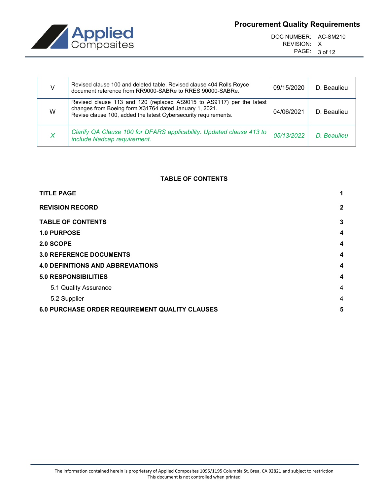

DOC NUMBER: AC-SM210 REVISION: X PAGE: 3 of 12

|   | Revised clause 100 and deleted table. Revised clause 404 Rolls Royce<br>document reference from RR9000-SABRe to RRES 90000-SABRe.                                                                  | 09/15/2020 | D. Beaulieu |
|---|----------------------------------------------------------------------------------------------------------------------------------------------------------------------------------------------------|------------|-------------|
| W | Revised clause 113 and 120 (replaced AS9015 to AS9117) per the latest<br>changes from Boeing form X31764 dated January 1, 2021.<br>Revise clause 100, added the latest Cybersecurity requirements. | 04/06/2021 | D. Beaulieu |
|   | Clarify QA Clause 100 for DFARS applicability. Updated clause 413 to<br>include Nadcap requirement.                                                                                                | 05/13/2022 | D. Beaulieu |

# **TABLE OF CONTENTS**

| <b>TITLE PAGE</b>                                     | 1                       |
|-------------------------------------------------------|-------------------------|
| <b>REVISION RECORD</b>                                | $\mathbf{2}$            |
| <b>TABLE OF CONTENTS</b>                              | 3                       |
| 1.0 PURPOSE                                           | $\overline{\mathbf{4}}$ |
| 2.0 SCOPE                                             | 4                       |
| <b>3.0 REFERENCE DOCUMENTS</b>                        | $\overline{\mathbf{4}}$ |
| <b>4.0 DEFINITIONS AND ABBREVIATIONS</b>              | 4                       |
| <b>5.0 RESPONSIBILITIES</b>                           | $\overline{\mathbf{4}}$ |
| 5.1 Quality Assurance                                 | $\overline{4}$          |
| 5.2 Supplier                                          | 4                       |
| <b>6.0 PURCHASE ORDER REQUIREMENT QUALITY CLAUSES</b> | 5                       |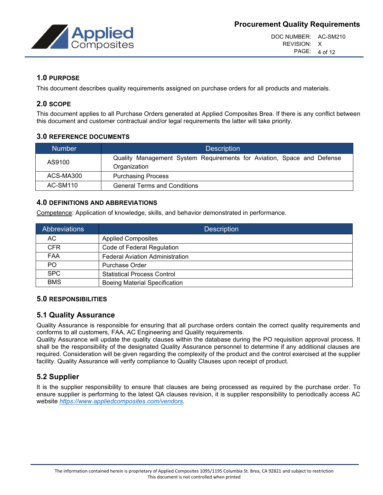

DOC NUMBER: AC-SM210 REVISION: X PAGE: 4 of 12

# **1.0 PURPOSE**

This document describes quality requirements assigned on purchase orders for all products and materials.

# **2.0 SCOPE**

This document applies to all Purchase Orders generated at Applied Composites Brea. If there is any conflict between this document and customer contractual and/or legal requirements the latter will take priority.

# **3.0 REFERENCE DOCUMENTS**

| <b>Number</b>   | <b>Description</b>                                                                     |
|-----------------|----------------------------------------------------------------------------------------|
| AS9100          | Quality Management System Requirements for Aviation, Space and Defense<br>Organization |
| ACS-MA300       | <b>Purchasing Process</b>                                                              |
| <b>AC-SM110</b> | <b>General Terms and Conditions</b>                                                    |

# **4.0 DEFINITIONS AND ABBREVIATIONS**

Competence: Application of knowledge, skills, and behavior demonstrated in performance.

| Abbreviations | <b>Description</b>                     |
|---------------|----------------------------------------|
| AC.           | <b>Applied Composites</b>              |
| <b>CFR</b>    | Code of Federal Regulation             |
| FAA           | <b>Federal Aviation Administration</b> |
| PO.           | <b>Purchase Order</b>                  |
| <b>SPC</b>    | <b>Statistical Process Control</b>     |
| <b>BMS</b>    | <b>Boeing Material Specification</b>   |

# **5.0 RESPONSIBILITIES**

# **5.1 Quality Assurance**

Quality Assurance is responsible for ensuring that all purchase orders contain the correct quality requirements and conforms to all customers, FAA, AC Engineering and Quality requirements.

Quality Assurance will update the quality clauses within the database during the PO requisition approval process. It shall be the responsibility of the designated Quality Assurance personnel to determine if any additional clauses are required. Consideration will be given regarding the complexity of the product and the control exercised at the supplier facility. Quality Assurance will verify compliance to Quality Clauses upon receipt of product.

# **5.2 Supplier**

It is the supplier responsibility to ensure that clauses are being processed as required by the purchase order. To ensure supplier is performing to the latest QA clauses revision, it is supplier responsibility to periodically access AC website *[https://www.appliedcomposites.com/vendors.](https://www.appliedcomposites.com/vendors)*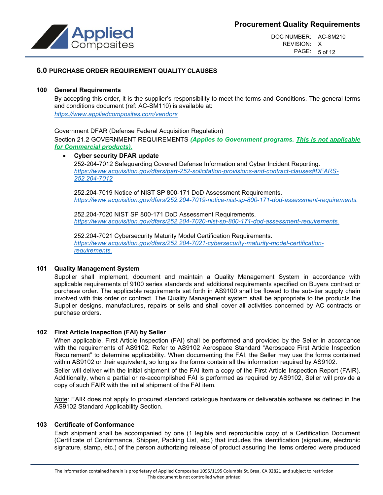

DOC NUMBER: AC-SM210 REVISION: X PAGE: 5 of 12

# **6.0 PURCHASE ORDER REQUIREMENT QUALITY CLAUSES**

#### **100 General Requirements**

By accepting this order, it is the supplier's responsibility to meet the terms and Conditions. The general terms and conditions document (ref: AC-SM110) is available at: *<https://www.appliedcomposites.com/vendors>*

Government DFAR (Defense Federal Acquisition Regulation) Section 21.2 GOVERNMENT REQUIREMENTS *(Applies to Government programs. This is not applicable for Commercial products).*

#### • **Cyber security DFAR update**

252-204-7012 Safeguarding Covered Defense Information and Cyber Incident Reporting. *[https://www.acquisition.gov/dfars/part-252-solicitation-provisions-and-contract-clauses#DFARS-](https://www.acquisition.gov/dfars/part-252-solicitation-provisions-and-contract-clauses#DFARS-252.204-7012)[252.204-7012](https://www.acquisition.gov/dfars/part-252-solicitation-provisions-and-contract-clauses#DFARS-252.204-7012)*

252.204-7019 Notice of NIST SP 800-171 DoD Assessment Requirements. *<https://www.acquisition.gov/dfars/252.204-7019-notice-nist-sp-800-171-dod-assessment-requirements.>*

252.204-7020 NIST SP 800-171 DoD Assessment Requirements. *[https://www.acquisition.gov/dfars/252.204-7020-nist-sp-800-171-dod-assessment-requirements.](https://usg02.safelinks.protection.office365.us/?url=https%3A%2F%2Fwww.acquisition.gov%2Fdfars%2F252.204-7020-nist-sp-800-171-dod-assessment-requirements.&data=04%7C01%7C%7C9fa49b21861548e3b5bf08d8c87fb3f7%7C071904cdbcf84641ace2473fc4bd0c96%7C0%7C0%7C637479798314386236%7CUnknown%7CTWFpbGZsb3d8eyJWIjoiMC4wLjAwMDAiLCJQIjoiV2luMzIiLCJBTiI6Ik1haWwiLCJXVCI6Mn0%3D%7C1000&sdata=wET4Tidolfa1enh9ivGoGeSEsQXtIFM8E0kxOaiYdUc%3D&reserved=0)*

252.204-7021 Cybersecurity Maturity Model Certification Requirements. *[https://www.acquisition.gov/dfars/252.204-7021-cybersecurity-maturity-model-certification](https://www.acquisition.gov/dfars/252.204-7021-cybersecurity-maturity-model-certification-requirements.)[requirements.](https://www.acquisition.gov/dfars/252.204-7021-cybersecurity-maturity-model-certification-requirements.)*

#### **101 Quality Management System**

Supplier shall implement, document and maintain a Quality Management System in accordance with applicable requirements of 9100 series standards and additional requirements specified on Buyers contract or purchase order. The applicable requirements set forth in AS9100 shall be flowed to the sub-tier supply chain involved with this order or contract. The Quality Management system shall be appropriate to the products the Supplier designs, manufactures, repairs or sells and shall cover all activities concerned by AC contracts or purchase orders.

#### **102 First Article Inspection (FAI) by Seller**

When applicable, First Article Inspection (FAI) shall be performed and provided by the Seller in accordance with the requirements of AS9102. Refer to AS9102 Aerospace Standard "Aerospace First Article Inspection Requirement" to determine applicability. When documenting the FAI, the Seller may use the forms contained within AS9102 or their equivalent, so long as the forms contain all the information required by AS9102.

Seller will deliver with the initial shipment of the FAI item a copy of the First Article Inspection Report (FAIR). Additionally, when a partial or re-accomplished FAI is performed as required by AS9102, Seller will provide a copy of such FAIR with the initial shipment of the FAI item.

Note: FAIR does not apply to procured standard catalogue hardware or deliverable software as defined in the AS9102 Standard Applicability Section.

#### **103 Certificate of Conformance**

Each shipment shall be accompanied by one (1 legible and reproducible copy of a Certification Document (Certificate of Conformance, Shipper, Packing List, etc.) that includes the identification (signature, electronic signature, stamp, etc.) of the person authorizing release of product assuring the items ordered were produced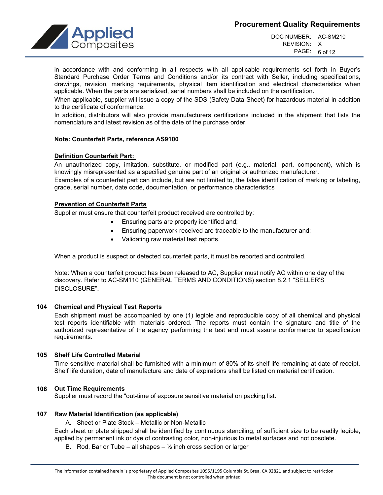

DOC NUMBER: AC-SM210 REVISION: X PAGE: 6 of 12

in accordance with and conforming in all respects with all applicable requirements set forth in Buyer's Standard Purchase Order Terms and Conditions and/or its contract with Seller, including specifications, drawings, revision, marking requirements, physical item identification and electrical characteristics when applicable. When the parts are serialized, serial numbers shall be included on the certification.

When applicable, supplier will issue a copy of the SDS (Safety Data Sheet) for hazardous material in addition to the certificate of conformance.

In addition, distributors will also provide manufacturers certifications included in the shipment that lists the nomenclature and latest revision as of the date of the purchase order.

## **Note: Counterfeit Parts, reference AS9100**

## **Definition Counterfeit Part:**

An unauthorized copy, imitation, substitute, or modified part (e.g., material, part, component), which is knowingly misrepresented as a specified genuine part of an original or authorized manufacturer.

Examples of a counterfeit part can include, but are not limited to, the false identification of marking or labeling, grade, serial number, date code, documentation, or performance characteristics

## **Prevention of Counterfeit Parts**

Supplier must ensure that counterfeit product received are controlled by:

- Ensuring parts are properly identified and;
- Ensuring paperwork received are traceable to the manufacturer and;
- Validating raw material test reports.

When a product is suspect or detected counterfeit parts, it must be reported and controlled.

Note: When a counterfeit product has been released to AC, Supplier must notify AC within one day of the discovery. Refer to AC-SM110 (GENERAL TERMS AND CONDITIONS) section 8.2.1 "SELLER'S DISCLOSURE".

#### **104 Chemical and Physical Test Reports**

Each shipment must be accompanied by one (1) legible and reproducible copy of all chemical and physical test reports identifiable with materials ordered. The reports must contain the signature and title of the authorized representative of the agency performing the test and must assure conformance to specification requirements.

# **105 Shelf Life Controlled Material**

Time sensitive material shall be furnished with a minimum of 80% of its shelf life remaining at date of receipt. Shelf life duration, date of manufacture and date of expirations shall be listed on material certification.

# **106 Out Time Requirements**

Supplier must record the "out-time of exposure sensitive material on packing list.

# **107 Raw Material Identification (as applicable)**

A. Sheet or Plate Stock – Metallic or Non-Metallic

Each sheet or plate shipped shall be identified by continuous stenciling, of sufficient size to be readily legible, applied by permanent ink or dye of contrasting color, non-injurious to metal surfaces and not obsolete.

B. Rod, Bar or Tube – all shapes  $-\frac{1}{2}$  inch cross section or larger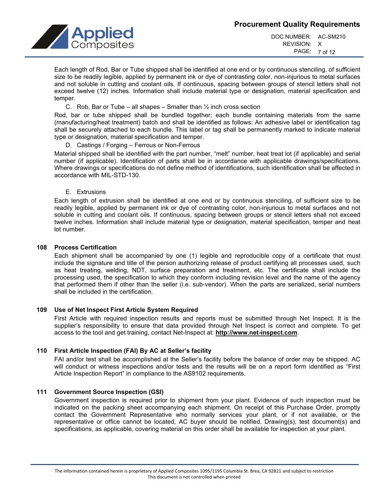

DOC NUMBER: AC-SM210 REVISION: X PAGE: 7 of 12

Each length of Rod, Bar or Tube shipped shall be identified at one end or by continuous stenciling, of sufficient size to be readily legible, applied by permanent ink or dye of contrasting color, non-injurious to metal surfaces and not soluble in cutting and coolant oils. If continuous, spacing between groups of stencil letters shall not exceed twelve (12) inches. Information shall include material type or designation, material specification and temper.

C. Rob, Bar or Tube – all shapes – Smaller than  $\frac{1}{2}$  inch cross section

Rod, bar or tube shipped shall be bundled together; each bundle containing materials from the same (manufacturing/heat treatment) batch and shall be identified as follows: An adhesive label or identification tag shall be securely attached to each bundle. This label or tag shall be permanently marked to indicate material type or designation, material specification and temper.

D. Castings / Forging – Ferrous or Non-Ferrous

Material shipped shall be identified with the part number, "melt" number, heat treat lot (if applicable) and serial number (if applicable). Identification of parts shall be in accordance with applicable drawings/specifications. Where drawings or specifications do not define method of identifications, such identification shall be affected in accordance with MIL-STD-130.

E. Extrusions

Each length of extrusion shall be identified at one end or by continuous stenciling, of sufficient size to be readily legible, applied by permanent ink or dye of contrasting color, non-injurious to metal surfaces and not soluble in cutting and coolant oils. If continuous, spacing between groups or stencil letters shall not exceed twelve inches. Information shall include material type or designation, material specification, temper and heat lot number.

#### **108 Process Certification**

Each shipment shall be accompanied by one (1) legible and reproducible copy of a certificate that must include the signature and title of the person authorizing release of product certifying all processes used, such as heat treating, welding, NDT, surface preparation and treatment, etc. The certificate shall include the processing used, the specification to which they conform including revision level and the name of the agency that performed them if other than the seller (i.e. sub-vendor). When the parts are serialized, serial numbers shall be included in the certification.

## **109 Use of Net Inspect First Article System Required**

First Article with required inspection results and reports must be submitted through Net Inspect. It is the supplier's responsibility to ensure that data provided through Net Inspect is correct and complete. To get access to the tool and get training, contact Net-Inspect at: **[http://www.net-inspect.com](http://www.net-inspect.com/)**.

# **110 First Article Inspection (FAI) By AC at Seller's facility**

FAI and/or test shall be accomplished at the Seller's facility before the balance of order may be shipped. AC will conduct or witness inspections and/or tests and the results will be on a report form identified as "First Article Inspection Report" in compliance to the AS9102 requirements.

#### **111 Government Source Inspection (GSI)**

Government inspection is required prior to shipment from your plant. Evidence of such inspection must be indicated on the packing sheet accompanying each shipment. On receipt of this Purchase Order, promptly contact the Government Representative who normally services your plant, or if not available, or the representative or office cannot be located, AC buyer should be notified. Drawing(s), test document(s) and specifications, as applicable, covering material on this order shall be available for inspection at your plant.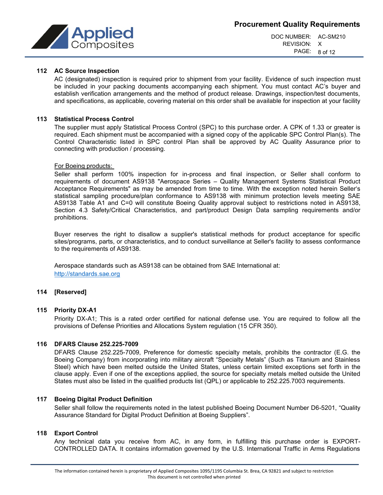

DOC NUMBER: AC-SM210 REVISION: X PAGE: 8 of 12

# **112 AC Source Inspection**

AC (designated) inspection is required prior to shipment from your facility. Evidence of such inspection must be included in your packing documents accompanying each shipment. You must contact AC's buyer and establish verification arrangements and the method of product release. Drawings, inspection/test documents, and specifications, as applicable, covering material on this order shall be available for inspection at your facility

#### **113 Statistical Process Control**

The supplier must apply Statistical Process Control (SPC) to this purchase order. A CPK of 1.33 or greater is required. Each shipment must be accompanied with a signed copy of the applicable SPC Control Plan(s). The Control Characteristic listed in SPC control Plan shall be approved by AC Quality Assurance prior to connecting with production / processing.

#### For Boeing products:

Seller shall perform 100% inspection for in-process and final inspection, or Seller shall conform to requirements of document AS9138 "Aerospace Series – Quality Management Systems Statistical Product Acceptance Requirements" as may be amended from time to time. With the exception noted herein Seller's statistical sampling procedure/plan conformance to AS9138 with minimum protection levels meeting SAE AS9138 Table A1 and C=0 will constitute Boeing Quality approval subject to restrictions noted in AS9138, Section 4.3 Safety/Critical Characteristics, and part/product Design Data sampling requirements and/or prohibitions.

Buyer reserves the right to disallow a supplier's statistical methods for product acceptance for specific sites/programs, parts, or characteristics, and to conduct surveillance at Seller's facility to assess conformance to the requirements of AS9138.

Aerospace standards such as AS9138 can be obtained from SAE International at: [http://standards.sae.org](http://standards.sae.org/)

#### **114 [Reserved]**

#### **115 Priority DX-A1**

Priority DX-A1; This is a rated order certified for national defense use. You are required to follow all the provisions of Defense Priorities and Allocations System regulation (15 CFR 350).

#### **116 DFARS Clause 252.225-7009**

DFARS Clause 252.225-7009, Preference for domestic specialty metals, prohibits the contractor (E.G. the Boeing Company) from incorporating into military aircraft "Specialty Metals" (Such as Titanium and Stainless Steel) which have been melted outside the United States, unless certain limited exceptions set forth in the clause apply. Even if one of the exceptions applied, the source for specialty metals melted outside the United States must also be listed in the qualified products list (QPL) or applicable to 252.225.7003 requirements.

#### **117 Boeing Digital Product Definition**

Seller shall follow the requirements noted in the latest published Boeing Document Number D6-5201, "Quality Assurance Standard for Digital Product Definition at Boeing Suppliers".

#### **118 Export Control**

Any technical data you receive from AC, in any form, in fulfilling this purchase order is EXPORT-CONTROLLED DATA. It contains information governed by the U.S. International Traffic in Arms Regulations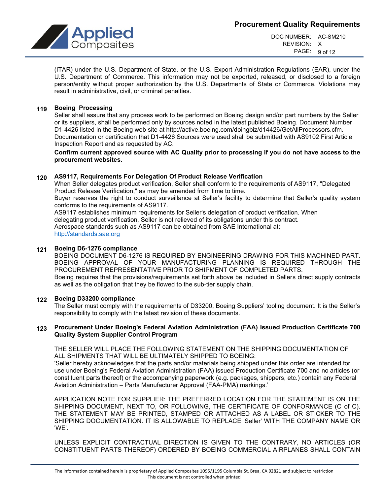

DOC NUMBER: AC-SM210 REVISION: X PAGE: 9 of 12

(ITAR) under the U.S. Department of State, or the U.S. Export Administration Regulations (EAR), under the U.S. Department of Commerce. This information may not be exported, released, or disclosed to a foreign person/entity without proper authorization by the U.S. Departments of State or Commerce. Violations may result in administrative, civil, or criminal penalties.

## **119 Boeing Processing**

Seller shall assure that any process work to be performed on Boeing design and/or part numbers by the Seller or its suppliers, shall be performed only by sources noted in the latest published Boeing. Document Number D1-4426 listed in the Boeing web site at http://active.boeing.com/doingbiz/d14426/GetAllProcessors.cfm. Documentation or certification that D1-4426 Sources were used shall be submitted with AS9102 First Article Inspection Report and as requested by AC.

**Confirm current approved source with AC Quality prior to processing if you do not have access to the procurement websites.**

## **120 AS9117, Requirements For Delegation Of Product Release Verification**

When Seller delegates product verification, Seller shall conform to the requirements of AS9117, "Delegated Product Release Verification," as may be amended from time to time.

Buyer reserves the right to conduct surveillance at Seller's facility to determine that Seller's quality system conforms to the requirements of AS9117.

AS9117 establishes minimum requirements for Seller's delegation of product verification. When delegating product verification, Seller is not relieved of its obligations under this contract. Aerospace standards such as AS9117 can be obtained from SAE International at: [http://standards.sae.org](http://standards.sae.org/)

#### **121 Boeing D6-1276 compliance**

BOEING DOCUMENT D6-1276 IS REQUIRED BY ENGINEERING DRAWING FOR THIS MACHINED PART. BOEING APPROVAL OF YOUR MANUFACTURING PLANNING IS REQUIRED THROUGH THE PROCUREMENT REPRESENTATIVE PRIOR TO SHIPMENT OF COMPLETED PARTS. Boeing requires that the provisions/requirements set forth above be included in Sellers direct supply contracts as well as the obligation that they be flowed to the sub-tier supply chain.

#### **122 Boeing D33200 compliance**

The Seller must comply with the requirements of D33200, Boeing Suppliers' tooling document. It is the Seller's responsibility to comply with the latest revision of these documents.

#### **123 Procurement Under Boeing's Federal Aviation Administration (FAA) Issued Production Certificate 700 Quality System Supplier Control Program**

THE SELLER WILL PLACE THE FOLLOWING STATEMENT ON THE SHIPPING DOCUMENTATION OF ALL SHIPMENTS THAT WILL BE ULTIMATELY SHIPPED TO BOEING:

'Seller hereby acknowledges that the parts and/or materials being shipped under this order are intended for use under Boeing's Federal Aviation Administration (FAA) issued Production Certificate 700 and no articles (or constituent parts thereof) or the accompanying paperwork (e.g. packages, shippers, etc.) contain any Federal Aviation Administration – Parts Manufacturer Approval (FAA-PMA) markings.'

APPLICATION NOTE FOR SUPPLIER: THE PREFERRED LOCATION FOR THE STATEMENT IS ON THE SHIPPING DOCUMENT, NEXT TO, OR FOLLOWING, THE CERTIFICATE OF CONFORMANCE (C of C). THE STATEMENT MAY BE PRINTED, STAMPED OR ATTACHED AS A LABEL OR STICKER TO THE SHIPPING DOCUMENTATION. IT IS ALLOWABLE TO REPLACE 'Seller' WITH THE COMPANY NAME OR 'WE'.

UNLESS EXPLICIT CONTRACTUAL DIRECTION IS GIVEN TO THE CONTRARY, NO ARTICLES (OR CONSTITUENT PARTS THEREOF) ORDERED BY BOEING COMMERCIAL AIRPLANES SHALL CONTAIN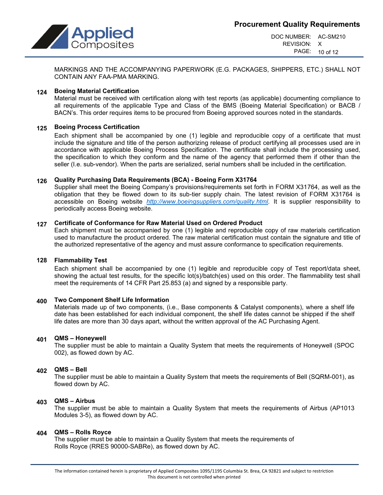



DOC NUMBER: AC-SM210 REVISION: X PAGE: 10 of 12

MARKINGS AND THE ACCOMPANYING PAPERWORK (E.G. PACKAGES, SHIPPERS, ETC.) SHALL NOT CONTAIN ANY FAA-PMA MARKING.

## **124 Boeing Material Certification**

Material must be received with certification along with test reports (as applicable) documenting compliance to all requirements of the applicable Type and Class of the BMS (Boeing Material Specification) or BACB / BACN's. This order requires items to be procured from Boeing approved sources noted in the standards.

## **125 Boeing Process Certification**

Each shipment shall be accompanied by one (1) legible and reproducible copy of a certificate that must include the signature and title of the person authorizing release of product certifying all processes used are in accordance with applicable Boeing Process Specification. The certificate shall include the processing used, the specification to which they conform and the name of the agency that performed them if other than the seller (I.e. sub-vendor). When the parts are serialized, serial numbers shall be included in the certification.

## **126 Quality Purchasing Data Requirements (BCA) - Boeing Form X31764**

Supplier shall meet the Boeing Company's provisions/requirements set forth in FORM X31764, as well as the obligation that they be flowed down to its sub-tier supply chain. The latest revision of FORM X31764 is accessible on Boeing website *[http://www.boeingsuppliers.com/quality.html.](http://www.boeingsuppliers.com/quality.html)* It is supplier responsibility to periodically access Boeing website.

# **127 Certificate of Conformance for Raw Material Used on Ordered Product**

Each shipment must be accompanied by one (1) legible and reproducible copy of raw materials certification used to manufacture the product ordered. The raw material certification must contain the signature and title of the authorized representative of the agency and must assure conformance to specification requirements.

#### **128 Flammability Test**

Each shipment shall be accompanied by one (1) legible and reproducible copy of Test report/data sheet, showing the actual test results, for the specific lot(s)/batch(es) used on this order. The flammability test shall meet the requirements of 14 CFR Part 25.853 (a) and signed by a responsible party.

#### **400 Two Component Shelf Life Information**

Materials made up of two components, (i.e., Base components & Catalyst components), where a shelf life date has been established for each individual component, the shelf life dates cannot be shipped if the shelf life dates are more than 30 days apart, without the written approval of the AC Purchasing Agent.

#### **401 QMS – Honeywell**

The supplier must be able to maintain a Quality System that meets the requirements of Honeywell (SPOC 002), as flowed down by AC.

#### **402 QMS – Bell**

The supplier must be able to maintain a Quality System that meets the requirements of Bell (SQRM-001), as flowed down by AC.

#### **403 QMS – Airbus**

The supplier must be able to maintain a Quality System that meets the requirements of Airbus (AP1013 Modules 3-5), as flowed down by AC.

#### **404 QMS – Rolls Royce**

The supplier must be able to maintain a Quality System that meets the requirements of Rolls Royce (RRES 90000-SABRe), as flowed down by AC.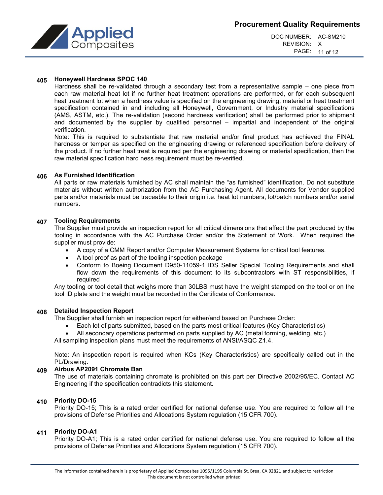



#### **405 Honeywell Hardness SPOC 140**

Hardness shall be re-validated through a secondary test from a representative sample – one piece from each raw material heat lot if no further heat treatment operations are performed, or for each subsequent heat treatment lot when a hardness value is specified on the engineering drawing, material or heat treatment specification contained in and including all Honeywell, Government, or Industry material specifications (AMS, ASTM, etc.). The re-validation (second hardness verification) shall be performed prior to shipment and documented by the supplier by qualified personnel – impartial and independent of the original verification.

Note: This is required to substantiate that raw material and/or final product has achieved the FINAL hardness or temper as specified on the engineering drawing or referenced specification before delivery of the product. If no further heat treat is required per the engineering drawing or material specification, then the raw material specification hard ness requirement must be re-verified.

# **406 As Furnished Identification**

All parts or raw materials furnished by AC shall maintain the "as furnished" identification. Do not substitute materials without written authorization from the AC Purchasing Agent. All documents for Vendor supplied parts and/or materials must be traceable to their origin i.e. heat lot numbers, lot/batch numbers and/or serial numbers.

#### **407 Tooling Requirements**

The Supplier must provide an inspection report for all critical dimensions that affect the part produced by the tooling in accordance with the AC Purchase Order and/or the Statement of Work. When required the supplier must provide:

- A copy of a CMM Report and/or Computer Measurement Systems for critical tool features.
- A tool proof as part of the tooling inspection package
- Conform to Boeing Document D950-11059-1 IDS Seller Special Tooling Requirements and shall flow down the requirements of this document to its subcontractors with ST responsibilities, if required

Any tooling or tool detail that weighs more than 30LBS must have the weight stamped on the tool or on the tool ID plate and the weight must be recorded in the Certificate of Conformance.

#### **408 Detailed Inspection Report**

The Supplier shall furnish an inspection report for either/and based on Purchase Order:

- Each lot of parts submitted, based on the parts most critical features (Key Characteristics)
- All secondary operations performed on parts supplied by AC (metal forming, welding, etc.)

All sampling inspection plans must meet the requirements of ANSI/ASQC Z1.4.

Note: An inspection report is required when KCs (Key Characteristics) are specifically called out in the PL/Drawing.

#### **409 Airbus AP2091 Chromate Ban**

The use of materials containing chromate is prohibited on this part per Directive 2002/95/EC. Contact AC Engineering if the specification contradicts this statement.

# **410 Priority DO-15**

Priority DO-15; This is a rated order certified for national defense use. You are required to follow all the provisions of Defense Priorities and Allocations System regulation (15 CFR 700).

# **411 Priority DO-A1**

Priority DO-A1; This is a rated order certified for national defense use. You are required to follow all the provisions of Defense Priorities and Allocations System regulation (15 CFR 700).